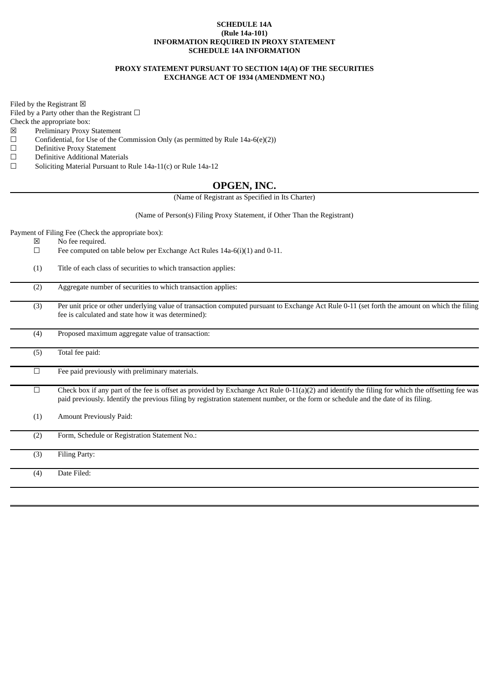### **SCHEDULE 14A (Rule 14a-101) INFORMATION REQUIRED IN PROXY STATEMENT SCHEDULE 14A INFORMATION**

### **PROXY STATEMENT PURSUANT TO SECTION 14(A) OF THE SECURITIES EXCHANGE ACT OF 1934 (AMENDMENT NO.)**

Filed by the Registrant  $\boxtimes$ 

Filed by a Party other than the Registrant  $□$ 

Check the appropriate box:

- $\boxtimes$  Preliminary Proxy Statement<br>  $\Box$  Confidential, for Use of the C
- □ Confidential, for Use of the Commission Only (as permitted by Rule 14a-6(e)(2))<br>□ Definitive Proxy Statement
- Definitive Proxy Statement
- $\Box$  Definitive Additional Materials<br> $\Box$  Soliciting Material Pursuant to I
- Soliciting Material Pursuant to Rule 14a-11(c) or Rule 14a-12

## **OPGEN, INC.**

(Name of Registrant as Specified in Its Charter)

(Name of Person(s) Filing Proxy Statement, if Other Than the Registrant)

Payment of Filing Fee (Check the appropriate box):

- $\boxtimes$  No fee required.<br>  $\Box$  Fee computed or
- Fee computed on table below per Exchange Act Rules 14a-6(i)(1) and 0-11.
- (1) Title of each class of securities to which transaction applies:

- (3) Per unit price or other underlying value of transaction computed pursuant to Exchange Act Rule 0-11 (set forth the amount on which the filing fee is calculated and state how it was determined):
- (4) Proposed maximum aggregate value of transaction:
- (5) Total fee paid:
	- $\Box$  Fee paid previously with preliminary materials.
		- $\Box$  Check box if any part of the fee is offset as provided by Exchange Act Rule 0-11(a)(2) and identify the filing for which the offsetting fee was paid previously. Identify the previous filing by registration statement number, or the form or schedule and the date of its filing.
- (1) Amount Previously Paid:

(2) Form, Schedule or Registration Statement No.:

(3) Filing Party: (4) Date Filed: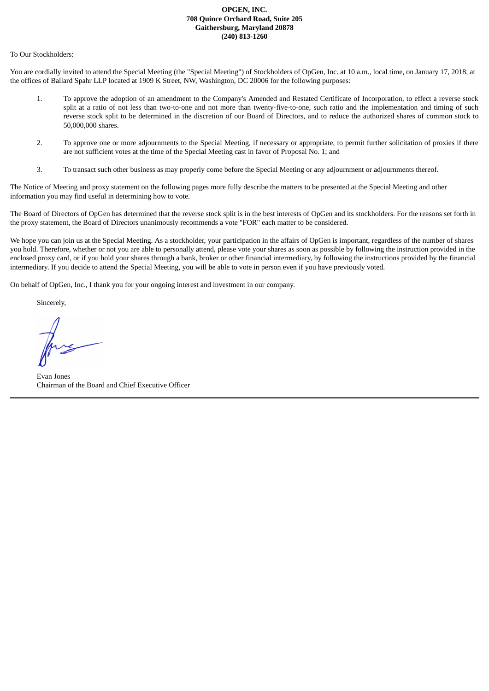## **OPGEN, INC. 708 Quince Orchard Road, Suite 205 Gaithersburg, Maryland 20878 (240) 813-1260**

To Our Stockholders:

You are cordially invited to attend the Special Meeting (the "Special Meeting") of Stockholders of OpGen, Inc. at 10 a.m., local time, on January 17, 2018, at the offices of Ballard Spahr LLP located at 1909 K Street, NW, Washington, DC 20006 for the following purposes:

- 1. To approve the adoption of an amendment to the Company's Amended and Restated Certificate of Incorporation, to effect a reverse stock split at a ratio of not less than two-to-one and not more than twenty-five-to-one, such ratio and the implementation and timing of such reverse stock split to be determined in the discretion of our Board of Directors, and to reduce the authorized shares of common stock to 50,000,000 shares.
- 2. To approve one or more adjournments to the Special Meeting, if necessary or appropriate, to permit further solicitation of proxies if there are not sufficient votes at the time of the Special Meeting cast in favor of Proposal No. 1; and
- 3. To transact such other business as may properly come before the Special Meeting or any adjournment or adjournments thereof.

The Notice of Meeting and proxy statement on the following pages more fully describe the matters to be presented at the Special Meeting and other information you may find useful in determining how to vote.

The Board of Directors of OpGen has determined that the reverse stock split is in the best interests of OpGen and its stockholders. For the reasons set forth in the proxy statement, the Board of Directors unanimously recommends a vote "FOR" each matter to be considered.

We hope you can join us at the Special Meeting. As a stockholder, your participation in the affairs of OpGen is important, regardless of the number of shares you hold. Therefore, whether or not you are able to personally attend, please vote your shares as soon as possible by following the instruction provided in the enclosed proxy card, or if you hold your shares through a bank, broker or other financial intermediary, by following the instructions provided by the financial intermediary. If you decide to attend the Special Meeting, you will be able to vote in person even if you have previously voted.

On behalf of OpGen, Inc., I thank you for your ongoing interest and investment in our company.

Sincerely,

Evan Jones Chairman of the Board and Chief Executive Officer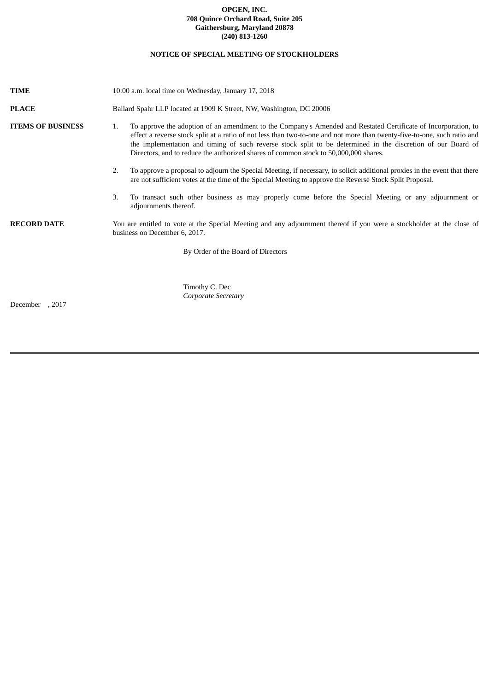## **OPGEN, INC. 708 Quince Orchard Road, Suite 205 Gaithersburg, Maryland 20878 (240) 813-1260**

# **NOTICE OF SPECIAL MEETING OF STOCKHOLDERS**

| <b>TIME</b>              | 10:00 a.m. local time on Wednesday, January 17, 2018                                                                                                                                                                                                                                                                                                                                                                                                     |  |  |  |
|--------------------------|----------------------------------------------------------------------------------------------------------------------------------------------------------------------------------------------------------------------------------------------------------------------------------------------------------------------------------------------------------------------------------------------------------------------------------------------------------|--|--|--|
| <b>PLACE</b>             | Ballard Spahr LLP located at 1909 K Street, NW, Washington, DC 20006                                                                                                                                                                                                                                                                                                                                                                                     |  |  |  |
| <b>ITEMS OF BUSINESS</b> | To approve the adoption of an amendment to the Company's Amended and Restated Certificate of Incorporation, to<br>1.<br>effect a reverse stock split at a ratio of not less than two-to-one and not more than twenty-five-to-one, such ratio and<br>the implementation and timing of such reverse stock split to be determined in the discretion of our Board of<br>Directors, and to reduce the authorized shares of common stock to 50,000,000 shares. |  |  |  |
|                          | To approve a proposal to adjourn the Special Meeting, if necessary, to solicit additional proxies in the event that there<br>2.<br>are not sufficient votes at the time of the Special Meeting to approve the Reverse Stock Split Proposal.                                                                                                                                                                                                              |  |  |  |
|                          | To transact such other business as may properly come before the Special Meeting or any adjournment or<br>3.<br>adjournments thereof.                                                                                                                                                                                                                                                                                                                     |  |  |  |
| <b>RECORD DATE</b>       | You are entitled to vote at the Special Meeting and any adjournment thereof if you were a stockholder at the close of<br>business on December 6, 2017.                                                                                                                                                                                                                                                                                                   |  |  |  |
|                          | By Order of the Board of Directors                                                                                                                                                                                                                                                                                                                                                                                                                       |  |  |  |
| December, 2017           | Timothy C. Dec<br>Corporate Secretary                                                                                                                                                                                                                                                                                                                                                                                                                    |  |  |  |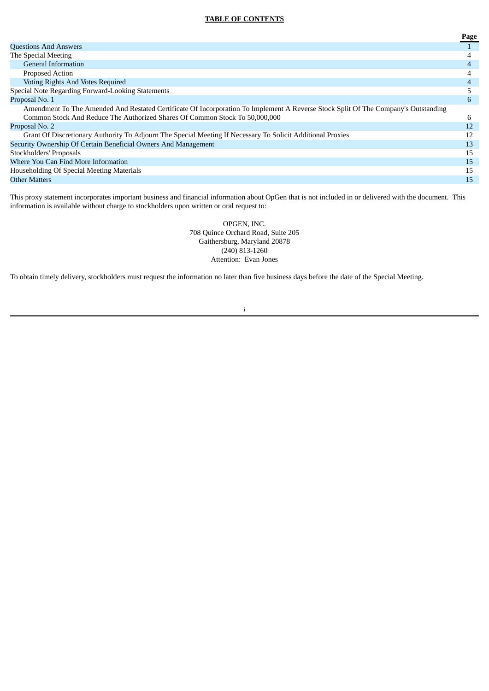## **TABLE OF CONTENTS**

|                                                                                                                                    | Page |
|------------------------------------------------------------------------------------------------------------------------------------|------|
| <b>Questions And Answers</b>                                                                                                       |      |
| The Special Meeting                                                                                                                | 4    |
| <b>General Information</b>                                                                                                         | 4    |
| Proposed Action                                                                                                                    |      |
| Voting Rights And Votes Required                                                                                                   |      |
| Special Note Regarding Forward-Looking Statements                                                                                  |      |
| Proposal No. 1                                                                                                                     | 6    |
| Amendment To The Amended And Restated Certificate Of Incorporation To Implement A Reverse Stock Split Of The Company's Outstanding |      |
| Common Stock And Reduce The Authorized Shares Of Common Stock To 50,000,000                                                        | 6    |
| Proposal No. 2                                                                                                                     | 12   |
| Grant Of Discretionary Authority To Adjourn The Special Meeting If Necessary To Solicit Additional Proxies                         | 12   |
| Security Ownership Of Certain Beneficial Owners And Management                                                                     | 13   |
| Stockholders' Proposals                                                                                                            | 15   |
| Where You Can Find More Information                                                                                                | 15   |
| Householding Of Special Meeting Materials                                                                                          | 15   |
| <b>Other Matters</b>                                                                                                               | 15   |
|                                                                                                                                    |      |

This proxy statement incorporates important business and financial information about OpGen that is not included in or delivered with the document. This information is available without charge to stockholders upon written or oral request to:

> OPGEN, INC. 708 Quince Orchard Road, Suite 205 Gaithersburg, Maryland 20878 (240) 813-1260 Attention: Evan Jones

To obtain timely delivery, stockholders must request the information no later than five business days before the date of the Special Meeting.

i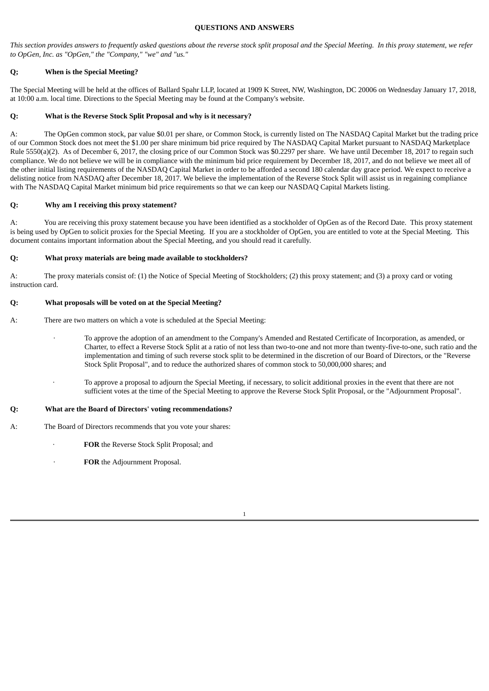## **QUESTIONS AND ANSWERS**

This section provides answers to frequently asked questions about the reverse stock split proposal and the Special Meeting. In this proxy statement, we refer *to OpGen, Inc. as "OpGen," the "Company," "we" and "us."*

## **Q; When is the Special Meeting?**

The Special Meeting will be held at the offices of Ballard Spahr LLP, located at 1909 K Street, NW, Washington, DC 20006 on Wednesday January 17, 2018, at 10:00 a.m. local time. Directions to the Special Meeting may be found at the Company's website.

## **Q: What is the Reverse Stock Split Proposal and why is it necessary?**

A: The OpGen common stock, par value \$0.01 per share, or Common Stock, is currently listed on The NASDAQ Capital Market but the trading price of our Common Stock does not meet the \$1.00 per share minimum bid price required by The NASDAQ Capital Market pursuant to NASDAQ Marketplace Rule 5550(a)(2). As of December 6, 2017, the closing price of our Common Stock was \$0.2297 per share. We have until December 18, 2017 to regain such compliance. We do not believe we will be in compliance with the minimum bid price requirement by December 18, 2017, and do not believe we meet all of the other initial listing requirements of the NASDAQ Capital Market in order to be afforded a second 180 calendar day grace period. We expect to receive a delisting notice from NASDAQ after December 18, 2017. We believe the implementation of the Reverse Stock Split will assist us in regaining compliance with The NASDAQ Capital Market minimum bid price requirements so that we can keep our NASDAQ Capital Markets listing.

## **Q: Why am I receiving this proxy statement?**

A: You are receiving this proxy statement because you have been identified as a stockholder of OpGen as of the Record Date. This proxy statement is being used by OpGen to solicit proxies for the Special Meeting. If you are a stockholder of OpGen, you are entitled to vote at the Special Meeting. This document contains important information about the Special Meeting, and you should read it carefully.

## **Q: What proxy materials are being made available to stockholders?**

A: The proxy materials consist of: (1) the Notice of Special Meeting of Stockholders; (2) this proxy statement; and (3) a proxy card or voting instruction card.

## **Q: What proposals will be voted on at the Special Meeting?**

A: There are two matters on which a vote is scheduled at the Special Meeting:

- · To approve the adoption of an amendment to the Company's Amended and Restated Certificate of Incorporation, as amended, or Charter, to effect a Reverse Stock Split at a ratio of not less than two-to-one and not more than twenty-five-to-one, such ratio and the implementation and timing of such reverse stock split to be determined in the discretion of our Board of Directors, or the "Reverse Stock Split Proposal", and to reduce the authorized shares of common stock to 50,000,000 shares; and
- · To approve a proposal to adjourn the Special Meeting, if necessary, to solicit additional proxies in the event that there are not sufficient votes at the time of the Special Meeting to approve the Reverse Stock Split Proposal, or the "Adjournment Proposal".

## **Q: What are the Board of Directors' voting recommendations?**

- A: The Board of Directors recommends that you vote your shares:
	- · **FOR** the Reverse Stock Split Proposal; and
	- · **FOR** the Adjournment Proposal.

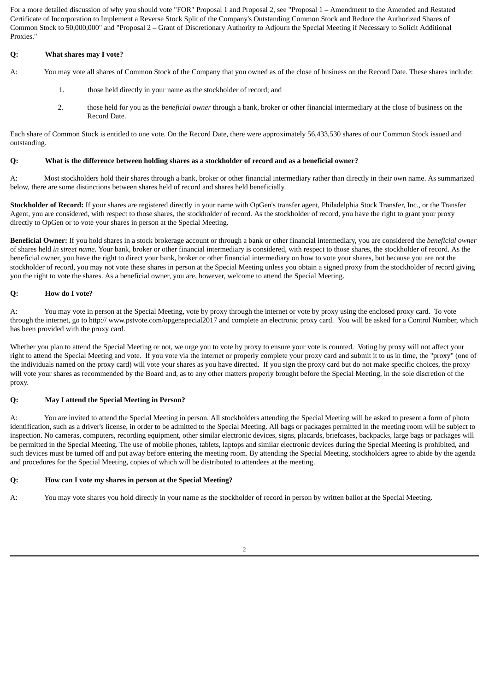For a more detailed discussion of why you should vote "FOR" Proposal 1 and Proposal 2, see "Proposal 1 – Amendment to the Amended and Restated Certificate of Incorporation to Implement a Reverse Stock Split of the Company's Outstanding Common Stock and Reduce the Authorized Shares of Common Stock to 50,000,000" and "Proposal 2 – Grant of Discretionary Authority to Adjourn the Special Meeting if Necessary to Solicit Additional Proxies."

## **Q: What shares may I vote?**

- A: You may vote all shares of Common Stock of the Company that you owned as of the close of business on the Record Date. These shares include:
	- 1. those held directly in your name as the stockholder of record; and
	- 2. those held for you as the *beneficial owner* through a bank, broker or other financial intermediary at the close of business on the Record Date.

Each share of Common Stock is entitled to one vote. On the Record Date, there were approximately 56,433,530 shares of our Common Stock issued and outstanding.

## Q: What is the difference between holding shares as a stockholder of record and as a beneficial owner?

A: Most stockholders hold their shares through a bank, broker or other financial intermediary rather than directly in their own name. As summarized below, there are some distinctions between shares held of record and shares held beneficially.

**Stockholder of Record:** If your shares are registered directly in your name with OpGen's transfer agent, Philadelphia Stock Transfer, Inc., or the Transfer Agent, you are considered, with respect to those shares, the stockholder of record. As the stockholder of record, you have the right to grant your proxy directly to OpGen or to vote your shares in person at the Special Meeting.

**Beneficial Owner:** If you hold shares in a stock brokerage account or through a bank or other financial intermediary, you are considered the *beneficial owner* of shares held *in street name*. Your bank, broker or other financial intermediary is considered, with respect to those shares, the stockholder of record. As the beneficial owner, you have the right to direct your bank, broker or other financial intermediary on how to vote your shares, but because you are not the stockholder of record, you may not vote these shares in person at the Special Meeting unless you obtain a signed proxy from the stockholder of record giving you the right to vote the shares. As a beneficial owner, you are, however, welcome to attend the Special Meeting.

## **Q: How do I vote?**

A: You may vote in person at the Special Meeting, vote by proxy through the internet or vote by proxy using the enclosed proxy card. To vote through the internet, go to http:// www.pstvote.com/opgenspecial2017 and complete an electronic proxy card. You will be asked for a Control Number, which has been provided with the proxy card.

Whether you plan to attend the Special Meeting or not, we urge you to vote by proxy to ensure your vote is counted. Voting by proxy will not affect your right to attend the Special Meeting and vote. If you vote via the internet or properly complete your proxy card and submit it to us in time, the "proxy" (one of the individuals named on the proxy card) will vote your shares as you have directed. If you sign the proxy card but do not make specific choices, the proxy will vote your shares as recommended by the Board and, as to any other matters properly brought before the Special Meeting, in the sole discretion of the proxy.

## **Q: May I attend the Special Meeting in Person?**

A: You are invited to attend the Special Meeting in person. All stockholders attending the Special Meeting will be asked to present a form of photo identification, such as a driver's license, in order to be admitted to the Special Meeting. All bags or packages permitted in the meeting room will be subject to inspection. No cameras, computers, recording equipment, other similar electronic devices, signs, placards, briefcases, backpacks, large bags or packages will be permitted in the Special Meeting. The use of mobile phones, tablets, laptops and similar electronic devices during the Special Meeting is prohibited, and such devices must be turned off and put away before entering the meeting room. By attending the Special Meeting, stockholders agree to abide by the agenda and procedures for the Special Meeting, copies of which will be distributed to attendees at the meeting.

## **Q: How can I vote my shares in person at the Special Meeting?**

A: You may vote shares you hold directly in your name as the stockholder of record in person by written ballot at the Special Meeting.

<sup>2</sup>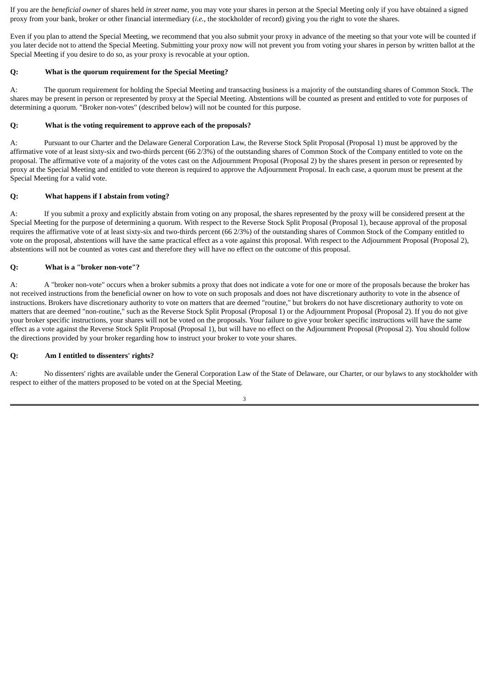If you are the *beneficial owner* of shares held *in street name*, you may vote your shares in person at the Special Meeting only if you have obtained a signed proxy from your bank, broker or other financial intermediary (*i.e.*, the stockholder of record) giving you the right to vote the shares.

Even if you plan to attend the Special Meeting, we recommend that you also submit your proxy in advance of the meeting so that your vote will be counted if you later decide not to attend the Special Meeting. Submitting your proxy now will not prevent you from voting your shares in person by written ballot at the Special Meeting if you desire to do so, as your proxy is revocable at your option.

## **Q: What is the quorum requirement for the Special Meeting?**

A: The quorum requirement for holding the Special Meeting and transacting business is a majority of the outstanding shares of Common Stock. The shares may be present in person or represented by proxy at the Special Meeting. Abstentions will be counted as present and entitled to vote for purposes of determining a quorum. "Broker non-votes" (described below) will not be counted for this purpose.

## **Q: What is the voting requirement to approve each of the proposals?**

A: Pursuant to our Charter and the Delaware General Corporation Law, the Reverse Stock Split Proposal (Proposal 1) must be approved by the affirmative vote of at least sixty-six and two-thirds percent (66 2/3%) of the outstanding shares of Common Stock of the Company entitled to vote on the proposal. The affirmative vote of a majority of the votes cast on the Adjournment Proposal (Proposal 2) by the shares present in person or represented by proxy at the Special Meeting and entitled to vote thereon is required to approve the Adjournment Proposal. In each case, a quorum must be present at the Special Meeting for a valid vote.

## **Q: What happens if I abstain from voting?**

A: If you submit a proxy and explicitly abstain from voting on any proposal, the shares represented by the proxy will be considered present at the Special Meeting for the purpose of determining a quorum. With respect to the Reverse Stock Split Proposal (Proposal 1), because approval of the proposal requires the affirmative vote of at least sixty-six and two-thirds percent (66 2/3%) of the outstanding shares of Common Stock of the Company entitled to vote on the proposal, abstentions will have the same practical effect as a vote against this proposal. With respect to the Adjournment Proposal (Proposal 2), abstentions will not be counted as votes cast and therefore they will have no effect on the outcome of this proposal.

## **Q: What is a "broker non-vote"?**

A: A "broker non-vote" occurs when a broker submits a proxy that does not indicate a vote for one or more of the proposals because the broker has not received instructions from the beneficial owner on how to vote on such proposals and does not have discretionary authority to vote in the absence of instructions. Brokers have discretionary authority to vote on matters that are deemed "routine," but brokers do not have discretionary authority to vote on matters that are deemed "non-routine," such as the Reverse Stock Split Proposal (Proposal 1) or the Adjournment Proposal (Proposal 2). If you do not give your broker specific instructions, your shares will not be voted on the proposals. Your failure to give your broker specific instructions will have the same effect as a vote against the Reverse Stock Split Proposal (Proposal 1), but will have no effect on the Adjournment Proposal (Proposal 2). You should follow the directions provided by your broker regarding how to instruct your broker to vote your shares.

## **Q: Am I entitled to dissenters' rights?**

A: No dissenters' rights are available under the General Corporation Law of the State of Delaware, our Charter, or our bylaws to any stockholder with respect to either of the matters proposed to be voted on at the Special Meeting.

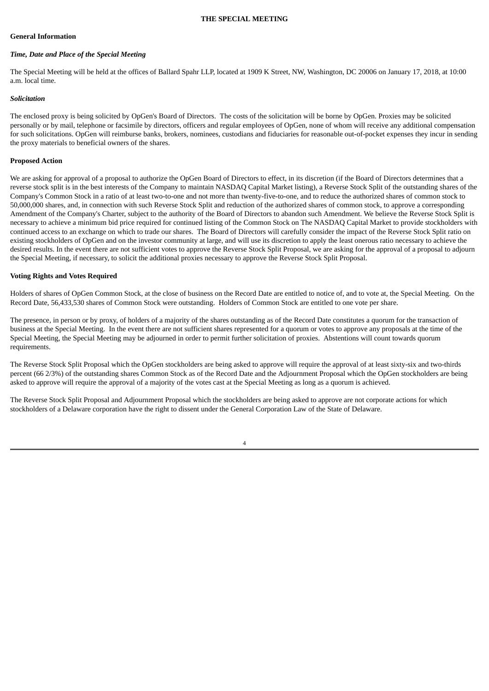#### **THE SPECIAL MEETING**

#### **General Information**

## *Time, Date and Place of the Special Meeting*

The Special Meeting will be held at the offices of Ballard Spahr LLP, located at 1909 K Street, NW, Washington, DC 20006 on January 17, 2018, at 10:00 a.m. local time.

#### *Solicitation*

The enclosed proxy is being solicited by OpGen's Board of Directors. The costs of the solicitation will be borne by OpGen. Proxies may be solicited personally or by mail, telephone or facsimile by directors, officers and regular employees of OpGen, none of whom will receive any additional compensation for such solicitations. OpGen will reimburse banks, brokers, nominees, custodians and fiduciaries for reasonable out-of-pocket expenses they incur in sending the proxy materials to beneficial owners of the shares.

### **Proposed Action**

We are asking for approval of a proposal to authorize the OpGen Board of Directors to effect, in its discretion (if the Board of Directors determines that a reverse stock split is in the best interests of the Company to maintain NASDAQ Capital Market listing), a Reverse Stock Split of the outstanding shares of the Company's Common Stock in a ratio of at least two-to-one and not more than twenty-five-to-one, and to reduce the authorized shares of common stock to 50,000,000 shares, and, in connection with such Reverse Stock Split and reduction of the authorized shares of common stock, to approve a corresponding Amendment of the Company's Charter, subject to the authority of the Board of Directors to abandon such Amendment. We believe the Reverse Stock Split is necessary to achieve a minimum bid price required for continued listing of the Common Stock on The NASDAQ Capital Market to provide stockholders with continued access to an exchange on which to trade our shares. The Board of Directors will carefully consider the impact of the Reverse Stock Split ratio on existing stockholders of OpGen and on the investor community at large, and will use its discretion to apply the least onerous ratio necessary to achieve the desired results. In the event there are not sufficient votes to approve the Reverse Stock Split Proposal, we are asking for the approval of a proposal to adjourn the Special Meeting, if necessary, to solicit the additional proxies necessary to approve the Reverse Stock Split Proposal.

#### **Voting Rights and Votes Required**

Holders of shares of OpGen Common Stock, at the close of business on the Record Date are entitled to notice of, and to vote at, the Special Meeting. On the Record Date, 56,433,530 shares of Common Stock were outstanding. Holders of Common Stock are entitled to one vote per share.

The presence, in person or by proxy, of holders of a majority of the shares outstanding as of the Record Date constitutes a quorum for the transaction of business at the Special Meeting. In the event there are not sufficient shares represented for a quorum or votes to approve any proposals at the time of the Special Meeting, the Special Meeting may be adjourned in order to permit further solicitation of proxies. Abstentions will count towards quorum requirements.

The Reverse Stock Split Proposal which the OpGen stockholders are being asked to approve will require the approval of at least sixty-six and two-thirds percent (66 2/3%) of the outstanding shares Common Stock as of the Record Date and the Adjournment Proposal which the OpGen stockholders are being asked to approve will require the approval of a majority of the votes cast at the Special Meeting as long as a quorum is achieved.

The Reverse Stock Split Proposal and Adjournment Proposal which the stockholders are being asked to approve are not corporate actions for which stockholders of a Delaware corporation have the right to dissent under the General Corporation Law of the State of Delaware.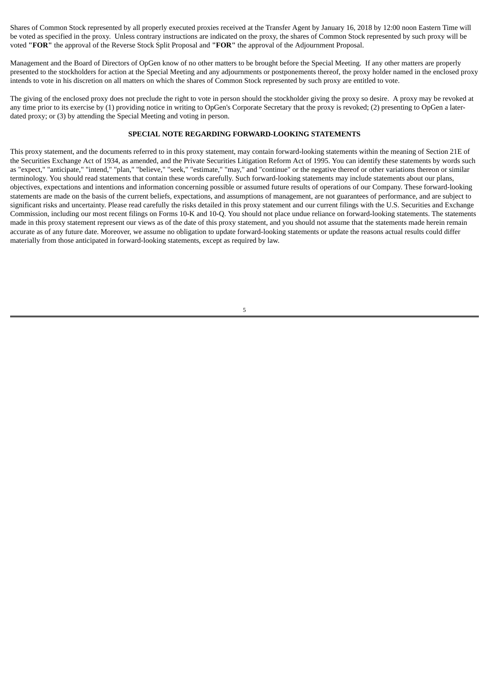Shares of Common Stock represented by all properly executed proxies received at the Transfer Agent by January 16, 2018 by 12:00 noon Eastern Time will be voted as specified in the proxy. Unless contrary instructions are indicated on the proxy, the shares of Common Stock represented by such proxy will be voted **"FOR"** the approval of the Reverse Stock Split Proposal and **"FOR"** the approval of the Adjournment Proposal.

Management and the Board of Directors of OpGen know of no other matters to be brought before the Special Meeting. If any other matters are properly presented to the stockholders for action at the Special Meeting and any adjournments or postponements thereof, the proxy holder named in the enclosed proxy intends to vote in his discretion on all matters on which the shares of Common Stock represented by such proxy are entitled to vote.

The giving of the enclosed proxy does not preclude the right to vote in person should the stockholder giving the proxy so desire. A proxy may be revoked at any time prior to its exercise by (1) providing notice in writing to OpGen's Corporate Secretary that the proxy is revoked; (2) presenting to OpGen a laterdated proxy; or (3) by attending the Special Meeting and voting in person.

### **SPECIAL NOTE REGARDING FORWARD-LOOKING STATEMENTS**

This proxy statement, and the documents referred to in this proxy statement, may contain forward-looking statements within the meaning of Section 21E of the Securities Exchange Act of 1934, as amended, and the Private Securities Litigation Reform Act of 1995. You can identify these statements by words such as "expect," "anticipate," "intend," "plan," "believe," "seek," "estimate," "may," and "continue" or the negative thereof or other variations thereon or similar terminology. You should read statements that contain these words carefully. Such forward-looking statements may include statements about our plans, objectives, expectations and intentions and information concerning possible or assumed future results of operations of our Company. These forward-looking statements are made on the basis of the current beliefs, expectations, and assumptions of management, are not guarantees of performance, and are subject to significant risks and uncertainty. Please read carefully the risks detailed in this proxy statement and our current filings with the U.S. Securities and Exchange Commission, including our most recent filings on Forms 10-K and 10-Q. You should not place undue reliance on forward-looking statements. The statements made in this proxy statement represent our views as of the date of this proxy statement, and you should not assume that the statements made herein remain accurate as of any future date. Moreover, we assume no obligation to update forward-looking statements or update the reasons actual results could differ materially from those anticipated in forward-looking statements, except as required by law.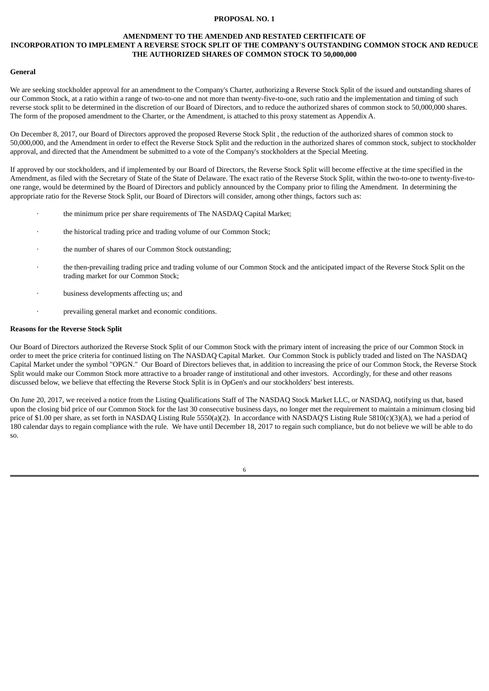### **PROPOSAL NO. 1**

#### **AMENDMENT TO THE AMENDED AND RESTATED CERTIFICATE OF INCORPORATION TO IMPLEMENT A REVERSE STOCK SPLIT OF THE COMPANY'S OUTSTANDING COMMON STOCK AND REDUCE**

## **THE AUTHORIZED SHARES OF COMMON STOCK TO 50,000,000**

### **General**

We are seeking stockholder approval for an amendment to the Company's Charter, authorizing a Reverse Stock Split of the issued and outstanding shares of our Common Stock, at a ratio within a range of two-to-one and not more than twenty-five-to-one, such ratio and the implementation and timing of such reverse stock split to be determined in the discretion of our Board of Directors, and to reduce the authorized shares of common stock to 50,000,000 shares. The form of the proposed amendment to the Charter, or the Amendment, is attached to this proxy statement as Appendix A.

On December 8, 2017, our Board of Directors approved the proposed Reverse Stock Split , the reduction of the authorized shares of common stock to 50,000,000, and the Amendment in order to effect the Reverse Stock Split and the reduction in the authorized shares of common stock, subject to stockholder approval, and directed that the Amendment be submitted to a vote of the Company's stockholders at the Special Meeting.

If approved by our stockholders, and if implemented by our Board of Directors, the Reverse Stock Split will become effective at the time specified in the Amendment, as filed with the Secretary of State of the State of Delaware. The exact ratio of the Reverse Stock Split, within the two-to-one to twenty-five-toone range, would be determined by the Board of Directors and publicly announced by the Company prior to filing the Amendment. In determining the appropriate ratio for the Reverse Stock Split, our Board of Directors will consider, among other things, factors such as:

- the minimum price per share requirements of The NASDAQ Capital Market;
- the historical trading price and trading volume of our Common Stock;
- the number of shares of our Common Stock outstanding;
- · the then-prevailing trading price and trading volume of our Common Stock and the anticipated impact of the Reverse Stock Split on the trading market for our Common Stock;
- · business developments affecting us; and
- prevailing general market and economic conditions.

#### **Reasons for the Reverse Stock Split**

Our Board of Directors authorized the Reverse Stock Split of our Common Stock with the primary intent of increasing the price of our Common Stock in order to meet the price criteria for continued listing on The NASDAQ Capital Market. Our Common Stock is publicly traded and listed on The NASDAQ Capital Market under the symbol "OPGN." Our Board of Directors believes that, in addition to increasing the price of our Common Stock, the Reverse Stock Split would make our Common Stock more attractive to a broader range of institutional and other investors. Accordingly, for these and other reasons discussed below, we believe that effecting the Reverse Stock Split is in OpGen's and our stockholders' best interests.

On June 20, 2017, we received a notice from the Listing Qualifications Staff of The NASDAQ Stock Market LLC, or NASDAQ, notifying us that, based upon the closing bid price of our Common Stock for the last 30 consecutive business days, no longer met the requirement to maintain a minimum closing bid price of \$1.00 per share, as set forth in NASDAQ Listing Rule 5550(a)(2). In accordance with NASDAQ'S Listing Rule 5810(c)(3)(A), we had a period of 180 calendar days to regain compliance with the rule. We have until December 18, 2017 to regain such compliance, but do not believe we will be able to do so.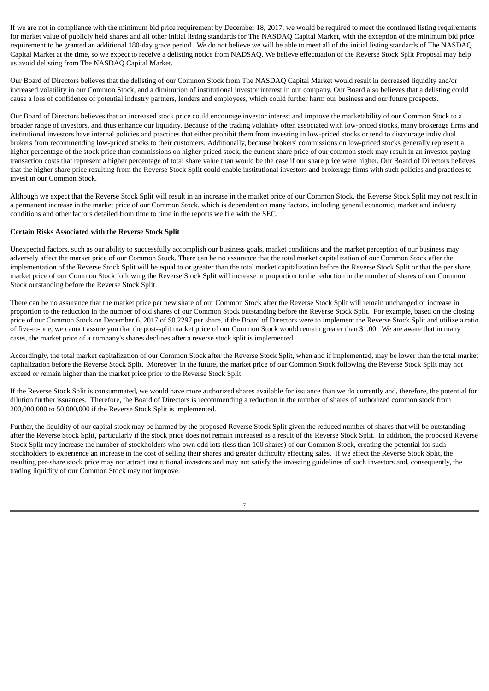If we are not in compliance with the minimum bid price requirement by December 18, 2017, we would be required to meet the continued listing requirements for market value of publicly held shares and all other initial listing standards for The NASDAQ Capital Market, with the exception of the minimum bid price requirement to be granted an additional 180-day grace period. We do not believe we will be able to meet all of the initial listing standards of The NASDAQ Capital Market at the time, so we expect to receive a delisting notice from NADSAQ. We believe effectuation of the Reverse Stock Split Proposal may help us avoid delisting from The NASDAQ Capital Market.

Our Board of Directors believes that the delisting of our Common Stock from The NASDAQ Capital Market would result in decreased liquidity and/or increased volatility in our Common Stock, and a diminution of institutional investor interest in our company. Our Board also believes that a delisting could cause a loss of confidence of potential industry partners, lenders and employees, which could further harm our business and our future prospects.

Our Board of Directors believes that an increased stock price could encourage investor interest and improve the marketability of our Common Stock to a broader range of investors, and thus enhance our liquidity. Because of the trading volatility often associated with low-priced stocks, many brokerage firms and institutional investors have internal policies and practices that either prohibit them from investing in low-priced stocks or tend to discourage individual brokers from recommending low-priced stocks to their customers. Additionally, because brokers' commissions on low-priced stocks generally represent a higher percentage of the stock price than commissions on higher-priced stock, the current share price of our common stock may result in an investor paying transaction costs that represent a higher percentage of total share value than would be the case if our share price were higher. Our Board of Directors believes that the higher share price resulting from the Reverse Stock Split could enable institutional investors and brokerage firms with such policies and practices to invest in our Common Stock.

Although we expect that the Reverse Stock Split will result in an increase in the market price of our Common Stock, the Reverse Stock Split may not result in a permanent increase in the market price of our Common Stock, which is dependent on many factors, including general economic, market and industry conditions and other factors detailed from time to time in the reports we file with the SEC.

## **Certain Risks Associated with the Reverse Stock Split**

Unexpected factors, such as our ability to successfully accomplish our business goals, market conditions and the market perception of our business may adversely affect the market price of our Common Stock. There can be no assurance that the total market capitalization of our Common Stock after the implementation of the Reverse Stock Split will be equal to or greater than the total market capitalization before the Reverse Stock Split or that the per share market price of our Common Stock following the Reverse Stock Split will increase in proportion to the reduction in the number of shares of our Common Stock outstanding before the Reverse Stock Split.

There can be no assurance that the market price per new share of our Common Stock after the Reverse Stock Split will remain unchanged or increase in proportion to the reduction in the number of old shares of our Common Stock outstanding before the Reverse Stock Split. For example, based on the closing price of our Common Stock on December 6, 2017 of \$0.2297 per share, if the Board of Directors were to implement the Reverse Stock Split and utilize a ratio of five-to-one, we cannot assure you that the post-split market price of our Common Stock would remain greater than \$1.00. We are aware that in many cases, the market price of a company's shares declines after a reverse stock split is implemented.

Accordingly, the total market capitalization of our Common Stock after the Reverse Stock Split, when and if implemented, may be lower than the total market capitalization before the Reverse Stock Split. Moreover, in the future, the market price of our Common Stock following the Reverse Stock Split may not exceed or remain higher than the market price prior to the Reverse Stock Split.

If the Reverse Stock Split is consummated, we would have more authorized shares available for issuance than we do currently and, therefore, the potential for dilution further issuances. Therefore, the Board of Directors is recommending a reduction in the number of shares of authorized common stock from 200,000,000 to 50,000,000 if the Reverse Stock Split is implemented.

Further, the liquidity of our capital stock may be harmed by the proposed Reverse Stock Split given the reduced number of shares that will be outstanding after the Reverse Stock Split, particularly if the stock price does not remain increased as a result of the Reverse Stock Split. In addition, the proposed Reverse Stock Split may increase the number of stockholders who own odd lots (less than 100 shares) of our Common Stock, creating the potential for such stockholders to experience an increase in the cost of selling their shares and greater difficulty effecting sales. If we effect the Reverse Stock Split, the resulting per-share stock price may not attract institutional investors and may not satisfy the investing guidelines of such investors and, consequently, the trading liquidity of our Common Stock may not improve.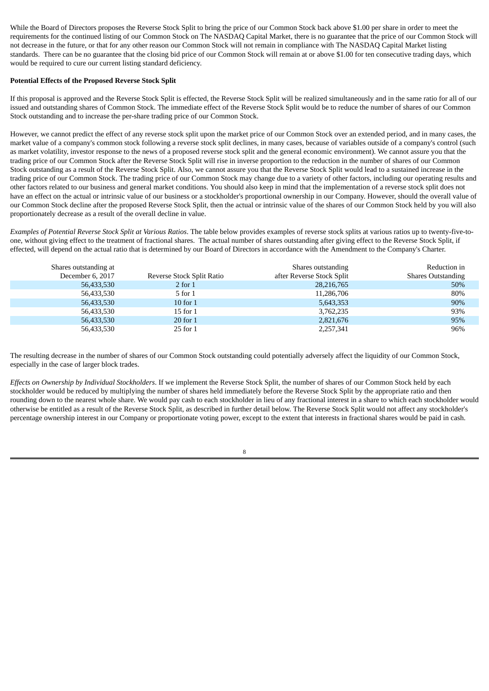While the Board of Directors proposes the Reverse Stock Split to bring the price of our Common Stock back above \$1.00 per share in order to meet the requirements for the continued listing of our Common Stock on The NASDAQ Capital Market, there is no guarantee that the price of our Common Stock will not decrease in the future, or that for any other reason our Common Stock will not remain in compliance with The NASDAQ Capital Market listing standards. There can be no guarantee that the closing bid price of our Common Stock will remain at or above \$1.00 for ten consecutive trading days, which would be required to cure our current listing standard deficiency.

## **Potential Effects of the Proposed Reverse Stock Split**

If this proposal is approved and the Reverse Stock Split is effected, the Reverse Stock Split will be realized simultaneously and in the same ratio for all of our issued and outstanding shares of Common Stock. The immediate effect of the Reverse Stock Split would be to reduce the number of shares of our Common Stock outstanding and to increase the per-share trading price of our Common Stock.

However, we cannot predict the effect of any reverse stock split upon the market price of our Common Stock over an extended period, and in many cases, the market value of a company's common stock following a reverse stock split declines, in many cases, because of variables outside of a company's control (such as market volatility, investor response to the news of a proposed reverse stock split and the general economic environment). We cannot assure you that the trading price of our Common Stock after the Reverse Stock Split will rise in inverse proportion to the reduction in the number of shares of our Common Stock outstanding as a result of the Reverse Stock Split. Also, we cannot assure you that the Reverse Stock Split would lead to a sustained increase in the trading price of our Common Stock. The trading price of our Common Stock may change due to a variety of other factors, including our operating results and other factors related to our business and general market conditions. You should also keep in mind that the implementation of a reverse stock split does not have an effect on the actual or intrinsic value of our business or a stockholder's proportional ownership in our Company. However, should the overall value of our Common Stock decline after the proposed Reverse Stock Split, then the actual or intrinsic value of the shares of our Common Stock held by you will also proportionately decrease as a result of the overall decline in value.

*Examples of Potential Reverse Stock Split at Various Ratios*. The table below provides examples of reverse stock splits at various ratios up to twenty-five-toone, without giving effect to the treatment of fractional shares. The actual number of shares outstanding after giving effect to the Reverse Stock Split, if effected, will depend on the actual ratio that is determined by our Board of Directors in accordance with the Amendment to the Company's Charter.

| Shares outstanding at<br>December 6, 2017 | Reverse Stock Split Ratio | Shares outstanding<br>after Reverse Stock Split | Reduction in<br><b>Shares Outstanding</b> |
|-------------------------------------------|---------------------------|-------------------------------------------------|-------------------------------------------|
| 56,433,530                                | $2$ for $1$               | 28,216,765                                      | 50%                                       |
| 56,433,530                                | 5 for 1                   | 11,286,706                                      | 80%                                       |
| 56,433,530                                | $10$ for $1$              | 5,643,353                                       | 90%                                       |
| 56,433,530                                | $15$ for $1$              | 3,762,235                                       | 93%                                       |
| 56,433,530                                | 20 for 1                  | 2,821,676                                       | 95%                                       |
| 56,433,530                                | $25$ for $1$              | 2,257,341                                       | 96%                                       |

The resulting decrease in the number of shares of our Common Stock outstanding could potentially adversely affect the liquidity of our Common Stock, especially in the case of larger block trades.

*Effects on Ownership by Individual Stockholders*. If we implement the Reverse Stock Split, the number of shares of our Common Stock held by each stockholder would be reduced by multiplying the number of shares held immediately before the Reverse Stock Split by the appropriate ratio and then rounding down to the nearest whole share. We would pay cash to each stockholder in lieu of any fractional interest in a share to which each stockholder would otherwise be entitled as a result of the Reverse Stock Split, as described in further detail below. The Reverse Stock Split would not affect any stockholder's percentage ownership interest in our Company or proportionate voting power, except to the extent that interests in fractional shares would be paid in cash.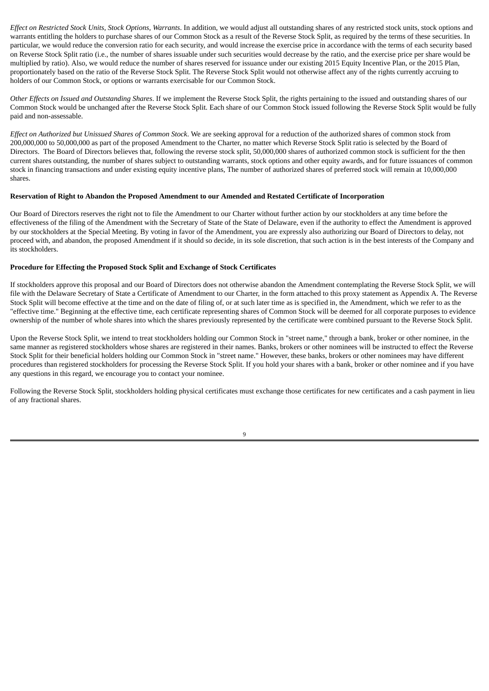*Effect on Restricted Stock Units, Stock Options, Warrants*. In addition, we would adjust all outstanding shares of any restricted stock units, stock options and warrants entitling the holders to purchase shares of our Common Stock as a result of the Reverse Stock Split, as required by the terms of these securities. In particular, we would reduce the conversion ratio for each security, and would increase the exercise price in accordance with the terms of each security based on Reverse Stock Split ratio (i.e., the number of shares issuable under such securities would decrease by the ratio, and the exercise price per share would be multiplied by ratio). Also, we would reduce the number of shares reserved for issuance under our existing 2015 Equity Incentive Plan, or the 2015 Plan, proportionately based on the ratio of the Reverse Stock Split. The Reverse Stock Split would not otherwise affect any of the rights currently accruing to holders of our Common Stock, or options or warrants exercisable for our Common Stock.

*Other Effects on Issued and Outstanding Shares*. If we implement the Reverse Stock Split, the rights pertaining to the issued and outstanding shares of our Common Stock would be unchanged after the Reverse Stock Split. Each share of our Common Stock issued following the Reverse Stock Split would be fully paid and non-assessable.

*Effect on Authorized but Unissued Shares of Common Stock*. We are seeking approval for a reduction of the authorized shares of common stock from 200,000,000 to 50,000,000 as part of the proposed Amendment to the Charter, no matter which Reverse Stock Split ratio is selected by the Board of Directors. The Board of Directors believes that, following the reverse stock split, 50,000,000 shares of authorized common stock is sufficient for the then current shares outstanding, the number of shares subject to outstanding warrants, stock options and other equity awards, and for future issuances of common stock in financing transactions and under existing equity incentive plans, The number of authorized shares of preferred stock will remain at 10,000,000 shares.

## **Reservation of Right to Abandon the Proposed Amendment to our Amended and Restated Certificate of Incorporation**

Our Board of Directors reserves the right not to file the Amendment to our Charter without further action by our stockholders at any time before the effectiveness of the filing of the Amendment with the Secretary of State of the State of Delaware, even if the authority to effect the Amendment is approved by our stockholders at the Special Meeting. By voting in favor of the Amendment, you are expressly also authorizing our Board of Directors to delay, not proceed with, and abandon, the proposed Amendment if it should so decide, in its sole discretion, that such action is in the best interests of the Company and its stockholders.

## **Procedure for Effecting the Proposed Stock Split and Exchange of Stock Certificates**

If stockholders approve this proposal and our Board of Directors does not otherwise abandon the Amendment contemplating the Reverse Stock Split, we will file with the Delaware Secretary of State a Certificate of Amendment to our Charter, in the form attached to this proxy statement as Appendix A. The Reverse Stock Split will become effective at the time and on the date of filing of, or at such later time as is specified in, the Amendment, which we refer to as the "effective time." Beginning at the effective time, each certificate representing shares of Common Stock will be deemed for all corporate purposes to evidence ownership of the number of whole shares into which the shares previously represented by the certificate were combined pursuant to the Reverse Stock Split.

Upon the Reverse Stock Split, we intend to treat stockholders holding our Common Stock in "street name," through a bank, broker or other nominee, in the same manner as registered stockholders whose shares are registered in their names. Banks, brokers or other nominees will be instructed to effect the Reverse Stock Split for their beneficial holders holding our Common Stock in "street name." However, these banks, brokers or other nominees may have different procedures than registered stockholders for processing the Reverse Stock Split. If you hold your shares with a bank, broker or other nominee and if you have any questions in this regard, we encourage you to contact your nominee.

Following the Reverse Stock Split, stockholders holding physical certificates must exchange those certificates for new certificates and a cash payment in lieu of any fractional shares.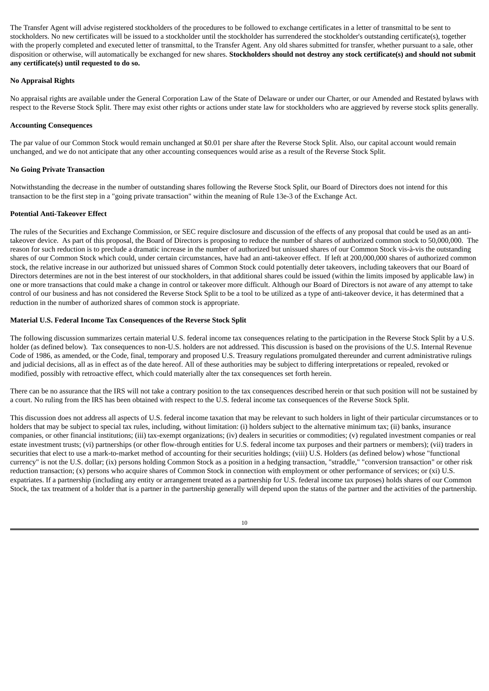The Transfer Agent will advise registered stockholders of the procedures to be followed to exchange certificates in a letter of transmittal to be sent to stockholders. No new certificates will be issued to a stockholder until the stockholder has surrendered the stockholder's outstanding certificate(s), together with the properly completed and executed letter of transmittal, to the Transfer Agent. Any old shares submitted for transfer, whether pursuant to a sale, other disposition or otherwise, will automatically be exchanged for new shares. Stockholders should not destroy any stock certificate(s) and should not submit **any certificate(s) until requested to do so.**

## **No Appraisal Rights**

No appraisal rights are available under the General Corporation Law of the State of Delaware or under our Charter, or our Amended and Restated bylaws with respect to the Reverse Stock Split. There may exist other rights or actions under state law for stockholders who are aggrieved by reverse stock splits generally.

## **Accounting Consequences**

The par value of our Common Stock would remain unchanged at \$0.01 per share after the Reverse Stock Split. Also, our capital account would remain unchanged, and we do not anticipate that any other accounting consequences would arise as a result of the Reverse Stock Split.

## **No Going Private Transaction**

Notwithstanding the decrease in the number of outstanding shares following the Reverse Stock Split, our Board of Directors does not intend for this transaction to be the first step in a "going private transaction" within the meaning of Rule 13e-3 of the Exchange Act.

## **Potential Anti-Takeover Effect**

The rules of the Securities and Exchange Commission, or SEC require disclosure and discussion of the effects of any proposal that could be used as an antitakeover device. As part of this proposal, the Board of Directors is proposing to reduce the number of shares of authorized common stock to 50,000,000. The reason for such reduction is to preclude a dramatic increase in the number of authorized but unissued shares of our Common Stock vis-à-vis the outstanding shares of our Common Stock which could, under certain circumstances, have had an anti-takeover effect. If left at 200,000,000 shares of authorized common stock, the relative increase in our authorized but unissued shares of Common Stock could potentially deter takeovers, including takeovers that our Board of Directors determines are not in the best interest of our stockholders, in that additional shares could be issued (within the limits imposed by applicable law) in one or more transactions that could make a change in control or takeover more difficult. Although our Board of Directors is not aware of any attempt to take control of our business and has not considered the Reverse Stock Split to be a tool to be utilized as a type of anti-takeover device, it has determined that a reduction in the number of authorized shares of common stock is appropriate.

## **Material U.S. Federal Income Tax Consequences of the Reverse Stock Split**

The following discussion summarizes certain material U.S. federal income tax consequences relating to the participation in the Reverse Stock Split by a U.S. holder (as defined below). Tax consequences to non-U.S. holders are not addressed. This discussion is based on the provisions of the U.S. Internal Revenue Code of 1986, as amended, or the Code, final, temporary and proposed U.S. Treasury regulations promulgated thereunder and current administrative rulings and judicial decisions, all as in effect as of the date hereof. All of these authorities may be subject to differing interpretations or repealed, revoked or modified, possibly with retroactive effect, which could materially alter the tax consequences set forth herein.

There can be no assurance that the IRS will not take a contrary position to the tax consequences described herein or that such position will not be sustained by a court. No ruling from the IRS has been obtained with respect to the U.S. federal income tax consequences of the Reverse Stock Split.

This discussion does not address all aspects of U.S. federal income taxation that may be relevant to such holders in light of their particular circumstances or to holders that may be subject to special tax rules, including, without limitation: (i) holders subject to the alternative minimum tax; (ii) banks, insurance companies, or other financial institutions; (iii) tax-exempt organizations; (iv) dealers in securities or commodities; (v) regulated investment companies or real estate investment trusts; (vi) partnerships (or other flow-through entities for U.S. federal income tax purposes and their partners or members); (vii) traders in securities that elect to use a mark-to-market method of accounting for their securities holdings; (viii) U.S. Holders (as defined below) whose "functional currency" is not the U.S. dollar; (ix) persons holding Common Stock as a position in a hedging transaction, "straddle," "conversion transaction" or other risk reduction transaction; (x) persons who acquire shares of Common Stock in connection with employment or other performance of services; or (xi) U.S. expatriates. If a partnership (including any entity or arrangement treated as a partnership for U.S. federal income tax purposes) holds shares of our Common Stock, the tax treatment of a holder that is a partner in the partnership generally will depend upon the status of the partner and the activities of the partnership.

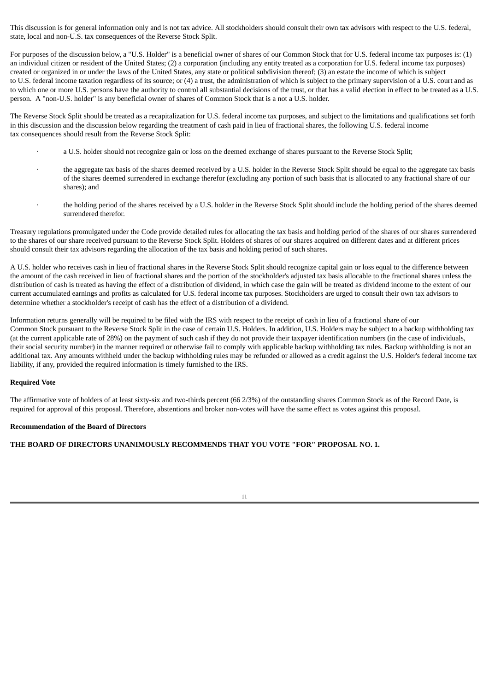This discussion is for general information only and is not tax advice. All stockholders should consult their own tax advisors with respect to the U.S. federal, state, local and non-U.S. tax consequences of the Reverse Stock Split.

For purposes of the discussion below, a "U.S. Holder" is a beneficial owner of shares of our Common Stock that for U.S. federal income tax purposes is: (1) an individual citizen or resident of the United States; (2) a corporation (including any entity treated as a corporation for U.S. federal income tax purposes) created or organized in or under the laws of the United States, any state or political subdivision thereof; (3) an estate the income of which is subject to U.S. federal income taxation regardless of its source; or (4) a trust, the administration of which is subject to the primary supervision of a U.S. court and as to which one or more U.S. persons have the authority to control all substantial decisions of the trust, or that has a valid election in effect to be treated as a U.S. person. A "non-U.S. holder" is any beneficial owner of shares of Common Stock that is a not a U.S. holder.

The Reverse Stock Split should be treated as a recapitalization for U.S. federal income tax purposes, and subject to the limitations and qualifications set forth in this discussion and the discussion below regarding the treatment of cash paid in lieu of fractional shares, the following U.S. federal income tax consequences should result from the Reverse Stock Split:

- · a U.S. holder should not recognize gain or loss on the deemed exchange of shares pursuant to the Reverse Stock Split;
- the aggregate tax basis of the shares deemed received by a U.S. holder in the Reverse Stock Split should be equal to the aggregate tax basis of the shares deemed surrendered in exchange therefor (excluding any portion of such basis that is allocated to any fractional share of our shares); and
	- · the holding period of the shares received by a U.S. holder in the Reverse Stock Split should include the holding period of the shares deemed surrendered therefor.

Treasury regulations promulgated under the Code provide detailed rules for allocating the tax basis and holding period of the shares of our shares surrendered to the shares of our share received pursuant to the Reverse Stock Split. Holders of shares of our shares acquired on different dates and at different prices should consult their tax advisors regarding the allocation of the tax basis and holding period of such shares.

A U.S. holder who receives cash in lieu of fractional shares in the Reverse Stock Split should recognize capital gain or loss equal to the difference between the amount of the cash received in lieu of fractional shares and the portion of the stockholder's adjusted tax basis allocable to the fractional shares unless the distribution of cash is treated as having the effect of a distribution of dividend, in which case the gain will be treated as dividend income to the extent of our current accumulated earnings and profits as calculated for U.S. federal income tax purposes. Stockholders are urged to consult their own tax advisors to determine whether a stockholder's receipt of cash has the effect of a distribution of a dividend.

Information returns generally will be required to be filed with the IRS with respect to the receipt of cash in lieu of a fractional share of our Common Stock pursuant to the Reverse Stock Split in the case of certain U.S. Holders. In addition, U.S. Holders may be subject to a backup withholding tax (at the current applicable rate of 28%) on the payment of such cash if they do not provide their taxpayer identification numbers (in the case of individuals, their social security number) in the manner required or otherwise fail to comply with applicable backup withholding tax rules. Backup withholding is not an additional tax. Any amounts withheld under the backup withholding rules may be refunded or allowed as a credit against the U.S. Holder's federal income tax liability, if any, provided the required information is timely furnished to the IRS.

#### **Required Vote**

The affirmative vote of holders of at least sixty-six and two-thirds percent (66 2/3%) of the outstanding shares Common Stock as of the Record Date, is required for approval of this proposal. Therefore, abstentions and broker non-votes will have the same effect as votes against this proposal.

#### **Recommendation of the Board of Directors**

**THE BOARD OF DIRECTORS UNANIMOUSLY RECOMMENDS THAT YOU VOTE "FOR" PROPOSAL NO. 1.**

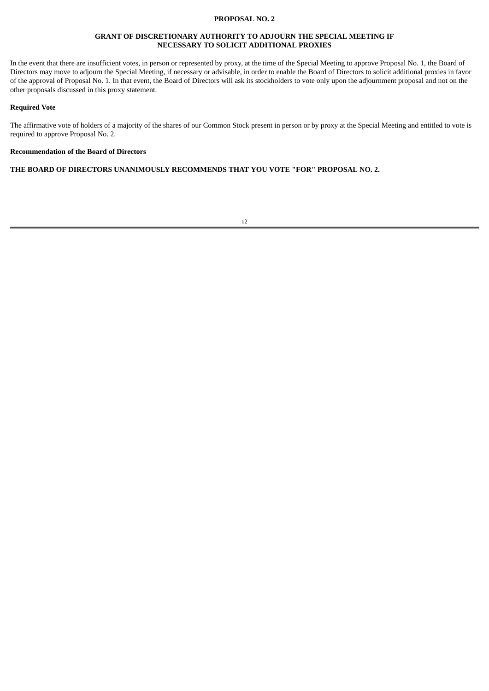## **PROPOSAL NO. 2**

## **GRANT OF DISCRETIONARY AUTHORITY TO ADJOURN THE SPECIAL MEETING IF NECESSARY TO SOLICIT ADDITIONAL PROXIES**

In the event that there are insufficient votes, in person or represented by proxy, at the time of the Special Meeting to approve Proposal No. 1, the Board of Directors may move to adjourn the Special Meeting, if necessary or advisable, in order to enable the Board of Directors to solicit additional proxies in favor of the approval of Proposal No. 1. In that event, the Board of Directors will ask its stockholders to vote only upon the adjournment proposal and not on the other proposals discussed in this proxy statement.

#### **Required Vote**

The affirmative vote of holders of a majority of the shares of our Common Stock present in person or by proxy at the Special Meeting and entitled to vote is required to approve Proposal No. 2.

#### **Recommendation of the Board of Directors**

**THE BOARD OF DIRECTORS UNANIMOUSLY RECOMMENDS THAT YOU VOTE "FOR" PROPOSAL NO. 2.**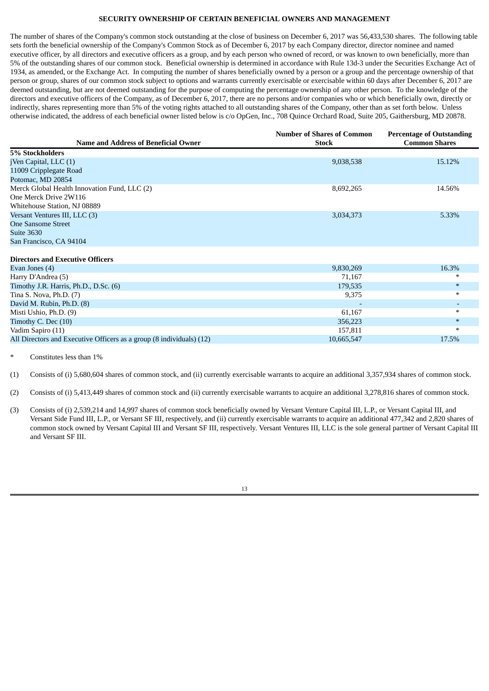### **SECURITY OWNERSHIP OF CERTAIN BENEFICIAL OWNERS AND MANAGEMENT**

The number of shares of the Company's common stock outstanding at the close of business on December 6, 2017 was 56,433,530 shares. The following table sets forth the beneficial ownership of the Company's Common Stock as of December 6, 2017 by each Company director, director nominee and named executive officer, by all directors and executive officers as a group, and by each person who owned of record, or was known to own beneficially, more than 5% of the outstanding shares of our common stock. Beneficial ownership is determined in accordance with Rule 13d-3 under the Securities Exchange Act of 1934, as amended, or the Exchange Act. In computing the number of shares beneficially owned by a person or a group and the percentage ownership of that person or group, shares of our common stock subject to options and warrants currently exercisable or exercisable within 60 days after December 6, 2017 are deemed outstanding, but are not deemed outstanding for the purpose of computing the percentage ownership of any other person. To the knowledge of the directors and executive officers of the Company, as of December 6, 2017, there are no persons and/or companies who or which beneficially own, directly or indirectly, shares representing more than 5% of the voting rights attached to all outstanding shares of the Company, other than as set forth below. Unless otherwise indicated, the address of each beneficial owner listed below is c/o OpGen, Inc., 708 Quince Orchard Road, Suite 205, Gaithersburg, MD 20878.

|                                              | <b>Number of Shares of Common</b> | <b>Percentage of Outstanding</b> |
|----------------------------------------------|-----------------------------------|----------------------------------|
| <b>Name and Address of Beneficial Owner</b>  | <b>Stock</b>                      | <b>Common Shares</b>             |
| 5% Stockholders                              |                                   |                                  |
| jVen Capital, LLC (1)                        | 9,038,538                         | 15.12%                           |
| 11009 Cripplegate Road                       |                                   |                                  |
| Potomac, MD 20854                            |                                   |                                  |
| Merck Global Health Innovation Fund, LLC (2) | 8,692,265                         | 14.56%                           |
| One Merck Drive 2W116                        |                                   |                                  |
| Whitehouse Station, NJ 08889                 |                                   |                                  |
| Versant Ventures III, LLC (3)                | 3,034,373                         | 5.33%                            |
| <b>One Sansome Street</b>                    |                                   |                                  |
| <b>Suite 3630</b>                            |                                   |                                  |
| San Francisco, CA 94104                      |                                   |                                  |
|                                              |                                   |                                  |
| Directors and Evecutive Officers             |                                   |                                  |

| Evan Jones (4)                                                       | 9,830,269  | 16.3%  |
|----------------------------------------------------------------------|------------|--------|
| Harry D'Andrea (5)                                                   | 71.167     | ∗      |
| Timothy J.R. Harris, Ph.D., D.Sc. (6)                                | 179,535    | $*$    |
| Tina S. Nova, Ph.D. $(7)$                                            | 9.375      | $\ast$ |
| David M. Rubin, Ph.D. (8)                                            |            |        |
| Misti Ushio, Ph.D. (9)                                               | 61.167     | $\ast$ |
| Timothy C. Dec (10)                                                  | 356,223    | $*$    |
| Vadim Sapiro (11)                                                    | 157.811    | $\ast$ |
| All Directors and Executive Officers as a group (8 individuals) (12) | 10,665,547 | 17.5%  |
|                                                                      |            |        |

Constitutes less than 1%

(1) Consists of (i) 5,680,604 shares of common stock, and (ii) currently exercisable warrants to acquire an additional 3,357,934 shares of common stock.

(2) Consists of (i) 5,413,449 shares of common stock and (ii) currently exercisable warrants to acquire an additional 3,278,816 shares of common stock.

(3) Consists of (i) 2,539,214 and 14,997 shares of common stock beneficially owned by Versant Venture Capital III, L.P., or Versant Capital III, and Versant Side Fund III, L.P., or Versant SF III, respectively, and (ii) currently exercisable warrants to acquire an additional 477,342 and 2,820 shares of common stock owned by Versant Capital III and Versant SF III, respectively. Versant Ventures III, LLC is the sole general partner of Versant Capital III and Versant SF III.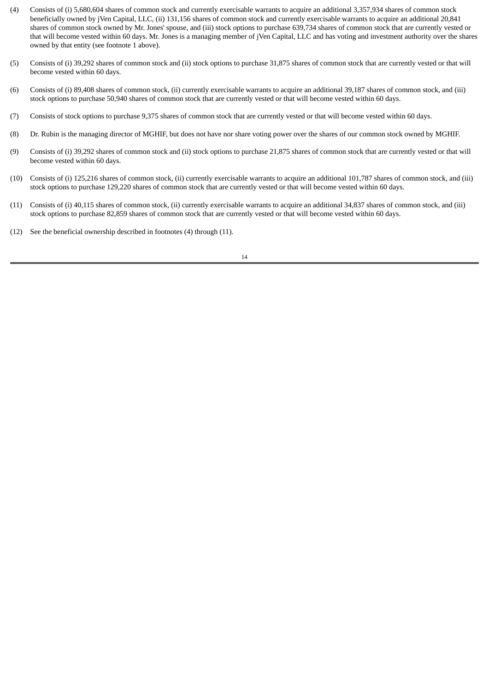- (4) Consists of (i) 5,680,604 shares of common stock and currently exercisable warrants to acquire an additional 3,357,934 shares of common stock beneficially owned by jVen Capital, LLC, (ii) 131,156 shares of common stock and currently exercisable warrants to acquire an additional 20,841 shares of common stock owned by Mr. Jones' spouse, and (iii) stock options to purchase 639,734 shares of common stock that are currently vested or that will become vested within 60 days. Mr. Jones is a managing member of jVen Capital, LLC and has voting and investment authority over the shares owned by that entity (see footnote 1 above).
- (5) Consists of (i) 39,292 shares of common stock and (ii) stock options to purchase 31,875 shares of common stock that are currently vested or that will become vested within 60 days.
- (6) Consists of (i) 89,408 shares of common stock, (ii) currently exercisable warrants to acquire an additional 39,187 shares of common stock, and (iii) stock options to purchase 50,940 shares of common stock that are currently vested or that will become vested within 60 days.
- (7) Consists of stock options to purchase 9,375 shares of common stock that are currently vested or that will become vested within 60 days.
- (8) Dr. Rubin is the managing director of MGHIF, but does not have nor share voting power over the shares of our common stock owned by MGHIF.
- (9) Consists of (i) 39,292 shares of common stock and (ii) stock options to purchase 21,875 shares of common stock that are currently vested or that will become vested within 60 days.
- (10) Consists of (i) 125,216 shares of common stock, (ii) currently exercisable warrants to acquire an additional 101,787 shares of common stock, and (iii) stock options to purchase 129,220 shares of common stock that are currently vested or that will become vested within 60 days.
- (11) Consists of (i) 40,115 shares of common stock, (ii) currently exercisable warrants to acquire an additional 34,837 shares of common stock, and (iii) stock options to purchase 82,859 shares of common stock that are currently vested or that will become vested within 60 days.
- (12) See the beneficial ownership described in footnotes (4) through (11).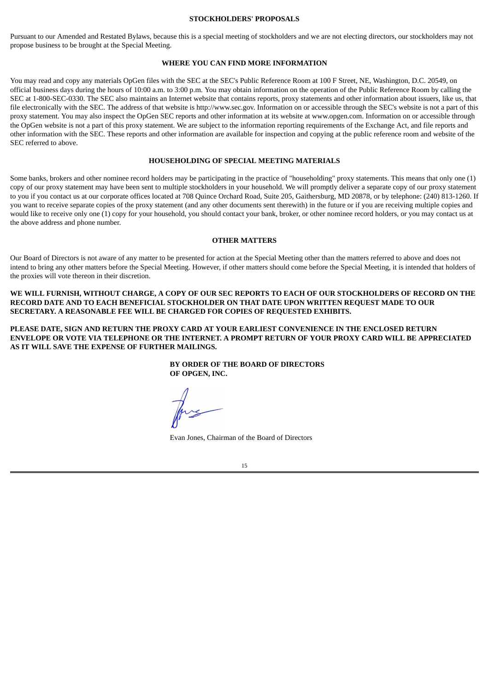#### **STOCKHOLDERS' PROPOSALS**

Pursuant to our Amended and Restated Bylaws, because this is a special meeting of stockholders and we are not electing directors, our stockholders may not propose business to be brought at the Special Meeting.

## **WHERE YOU CAN FIND MORE INFORMATION**

You may read and copy any materials OpGen files with the SEC at the SEC's Public Reference Room at 100 F Street, NE, Washington, D.C. 20549, on official business days during the hours of 10:00 a.m. to 3:00 p.m. You may obtain information on the operation of the Public Reference Room by calling the SEC at 1-800-SEC-0330. The SEC also maintains an Internet website that contains reports, proxy statements and other information about issuers, like us, that file electronically with the SEC. The address of that website is http://www.sec.gov. Information on or accessible through the SEC's website is not a part of this proxy statement. You may also inspect the OpGen SEC reports and other information at its website at www.opgen.com. Information on or accessible through the OpGen website is not a part of this proxy statement. We are subject to the information reporting requirements of the Exchange Act, and file reports and other information with the SEC. These reports and other information are available for inspection and copying at the public reference room and website of the SEC referred to above.

#### **HOUSEHOLDING OF SPECIAL MEETING MATERIALS**

Some banks, brokers and other nominee record holders may be participating in the practice of "householding" proxy statements. This means that only one (1) copy of our proxy statement may have been sent to multiple stockholders in your household. We will promptly deliver a separate copy of our proxy statement to you if you contact us at our corporate offices located at 708 Quince Orchard Road, Suite 205, Gaithersburg, MD 20878, or by telephone: (240) 813-1260. If you want to receive separate copies of the proxy statement (and any other documents sent therewith) in the future or if you are receiving multiple copies and would like to receive only one (1) copy for your household, you should contact your bank, broker, or other nominee record holders, or you may contact us at the above address and phone number.

#### **OTHER MATTERS**

Our Board of Directors is not aware of any matter to be presented for action at the Special Meeting other than the matters referred to above and does not intend to bring any other matters before the Special Meeting. However, if other matters should come before the Special Meeting, it is intended that holders of the proxies will vote thereon in their discretion.

WE WILL FURNISH, WITHOUT CHARGE, A COPY OF OUR SEC REPORTS TO EACH OF OUR STOCKHOLDERS OF RECORD ON THE **RECORD DATE AND TO EACH BENEFICIAL STOCKHOLDER ON THAT DATE UPON WRITTEN REQUEST MADE TO OUR SECRETARY. A REASONABLE FEE WILL BE CHARGED FOR COPIES OF REQUESTED EXHIBITS.**

**PLEASE DATE, SIGN AND RETURN THE PROXY CARD AT YOUR EARLIEST CONVENIENCE IN THE ENCLOSED RETURN** ENVELOPE OR VOTE VIA TELEPHONE OR THE INTERNET. A PROMPT RETURN OF YOUR PROXY CARD WILL BE APPRECIATED **AS IT WILL SAVE THE EXPENSE OF FURTHER MAILINGS.**

> **BY ORDER OF THE BOARD OF DIRECTORS OF OPGEN, INC.**

Evan Jones, Chairman of the Board of Directors